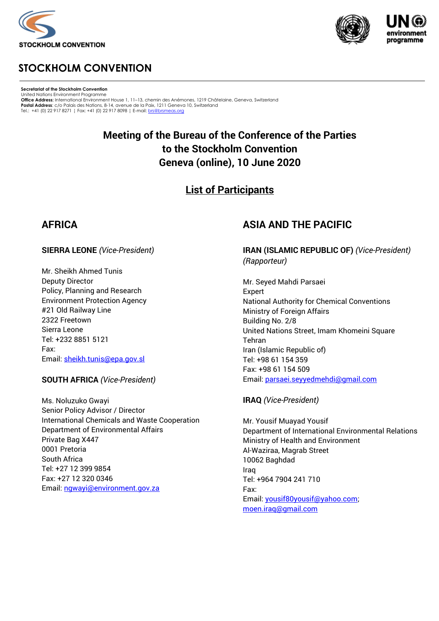





## **STOCKHOLM CONVENTION**

**Secretariat of the Stockholm Convention** United Nations Environment Programme **Office Address:** International Environment House 1, 11–13, chemin des Anémones, 1219 Châtelaine, Geneva, Switzerland **Postal Address**: c/o Palais des Nations, 8-14, avenue de la Paix, 1211 Geneva 10, Switzerland<br>Tel.: +41 (0) 22 917 8271 ¦ Fax: +41 (0) 22 917 8098 ¦ E-mail[: brs@brsmeas.org](mailto:brs@brsmeas.org)

## **Meeting of the Bureau of the Conference of the Parties to the Stockholm Convention Geneva (online), 10 June 2020**

## **List of Participants**

### **AFRICA**

#### **SIERRA LEONE** *(Vice-President)*

Mr. Sheikh Ahmed Tunis Deputy Director Policy, Planning and Research Environment Protection Agency #21 Old Railway Line 2322 Freetown Sierra Leone Tel: +232 8851 5121 Fax: Email: [sheikh.tunis@epa.gov.sl](mailto:sheikh.tunis@epa.gov.sl)

#### **SOUTH AFRICA** *(Vice-President)*

Ms. Noluzuko Gwayi Senior Policy Advisor / Director International Chemicals and Waste Cooperation Department of Environmental Affairs Private Bag X447 0001 Pretoria South Africa Tel: +27 12 399 9854 Fax: +27 12 320 0346 Email: [ngwayi@environment.gov.za](mailto:ngwayi@environment.gov.za)

### **ASIA AND THE PACIFIC**

**IRAN (ISLAMIC REPUBLIC OF)** *(Vice-President) (Rapporteur)*

Mr. Seyed Mahdi Parsaei Expert National Authority for Chemical Conventions Ministry of Foreign Affairs Building No. 2/8 United Nations Street, Imam Khomeini Square Tehran Iran (Islamic Republic of) Tel: +98 61 154 359 Fax: +98 61 154 509 Email[: parsaei.seyyedmehdi@gmail.com](mailto:parsaei.seyyedmehdi@gmail.com)

#### **IRAQ** *(Vice-President)*

Mr. Yousif Muayad Yousif Department of International Environmental Relations Ministry of Health and Environment Al-Waziraa, Magrab Street 10062 Baghdad Iraq Tel: +964 7904 241 710 Fax: Email[: yousif80yousif@yahoo.com;](mailto:yousif80yousif@yahoo.com) [moen.iraq@gmail.com](mailto:moen.iraq@gmail.com)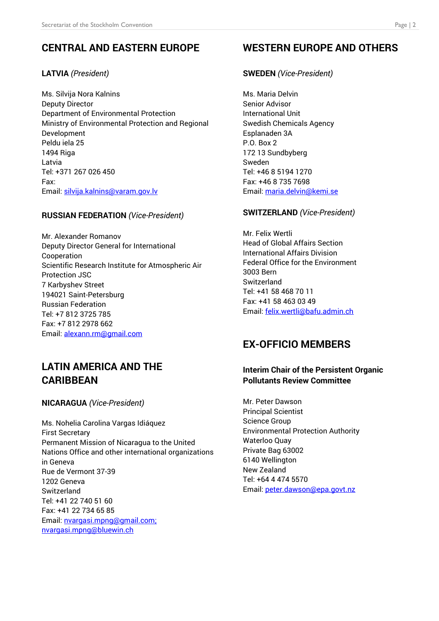# **CENTRAL AND EASTERN EUROPE**

### **LATVIA** *(President)*

Ms. Silvija Nora Kalnins Deputy Director Department of Environmental Protection Ministry of Environmental Protection and Regional Development Peldu iela 25 1494 Riga Latvia Tel: +371 267 026 450 Fax: Email: [silvija.kalnins@varam.gov.lv](mailto:silvija.kalnins@varam.gov.lv)

#### **RUSSIAN FEDERATION** *(Vice-President)*

Mr. Alexander Romanov Deputy Director General for International Cooperation Scientific Research Institute for Atmospheric Air Protection JSC 7 Karbyshev Street 194021 Saint-Petersburg Russian Federation Tel: +7 812 3725 785 Fax: +7 812 2978 662 Email: [alexann.rm@gmail.com](mailto:alexann.rm@gmail.com)

## **LATIN AMERICA AND THE CARIBBEAN**

#### **NICARAGUA** *(Vice-President)*

Ms. Nohelia Carolina Vargas Idiáquez First Secretary Permanent Mission of Nicaragua to the United Nations Office and other international organizations in Geneva Rue de Vermont 37-39 1202 Geneva **Switzerland** Tel: +41 22 740 51 60 Fax: +41 22 734 65 85 Email: [nvargasi.mpng@gmail.com;](mailto:nvargasi.mpng@gmail.com) [nvargasi.mpng@bluewin.ch](mailto:nvargasi.mpng@bluewin.ch)

# **WESTERN EUROPE AND OTHERS**

### **SWEDEN** *(Vice-President)*

Ms. Maria Delvin Senior Advisor International Unit Swedish Chemicals Agency Esplanaden 3A P.O. Box 2 172 13 Sundbyberg Sweden Tel: +46 8 5194 1270 Fax: +46 8 735 7698 Email[: maria.delvin@kemi.se](mailto:maria.delvin@kemi.se)

#### **SWITZERLAND** *(Vice-President)*

Mr. Felix Wertli Head of Global Affairs Section International Affairs Division Federal Office for the Environment 3003 Bern Switzerland Tel: +41 58 468 70 11 Fax: +41 58 463 03 49 Email[: felix.wertli@bafu.admin.ch](mailto:felix.wertli@bafu.admin.ch)

# **EX-OFFICIO MEMBERS**

#### **Interim Chair of the Persistent Organic Pollutants Review Committee**

Mr. Peter Dawson Principal Scientist Science Group Environmental Protection Authority Waterloo Quay Private Bag 63002 6140 Wellington New Zealand Tel: +64 4 474 5570 Email[: peter.dawson@epa.govt.nz](mailto:peter.dawson@epa.govt.nz)